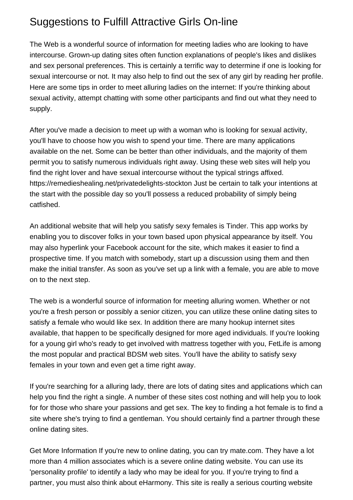## Suggestions to Fulfill Attractive Girls On-line

The Web is a wonderful source of information for meeting ladies who are looking to have intercourse. Grown-up dating sites often function explanations of people's likes and dislikes and sex personal preferences. This is certainly a terrific way to determine if one is looking for sexual intercourse or not. It may also help to find out the sex of any girl by reading her profile. Here are some tips in order to meet alluring ladies on the internet: If you're thinking about sexual activity, attempt chatting with some other participants and find out what they need to supply.

After you've made a decision to meet up with a woman who is looking for sexual activity, you'll have to choose how you wish to spend your time. There are many applications available on the net. Some can be better than other individuals, and the majority of them permit you to satisfy numerous individuals right away. Using these web sites will help you find the right lover and have sexual intercourse without the typical strings affixed. <https://remedieshealing.net/privatedelights-stockton> Just be certain to talk your intentions at the start with the possible day so you'll possess a reduced probability of simply being catfished.

An additional website that will help you satisfy sexy females is Tinder. This app works by enabling you to discover folks in your town based upon physical appearance by itself. You may also hyperlink your Facebook account for the site, which makes it easier to find a prospective time. If you match with somebody, start up a discussion using them and then make the initial transfer. As soon as you've set up a link with a female, you are able to move on to the next step.

The web is a wonderful source of information for meeting alluring women. Whether or not you're a fresh person or possibly a senior citizen, you can utilize these online dating sites to satisfy a female who would like sex. In addition there are many hookup internet sites available, that happen to be specifically designed for more aged individuals. If you're looking for a young girl who's ready to get involved with mattress together with you, FetLife is among the most popular and practical BDSM web sites. You'll have the ability to satisfy sexy females in your town and even get a time right away.

If you're searching for a alluring lady, there are lots of dating sites and applications which can help you find the right a single. A number of these sites cost nothing and will help you to look for for those who share your passions and get sex. The key to finding a hot female is to find a site where she's trying to find a gentleman. You should certainly find a partner through these online dating sites.

[Get More Information](http://247healustip.website/?p=st-louis-backpage-personals) If you're new to online dating, you can try mate.com. They have a lot more than 4 million associates which is a severe online dating website. You can use its 'personality profile' to identify a lady who may be ideal for you. If you're trying to find a partner, you must also think about eHarmony. This site is really a serious courting website